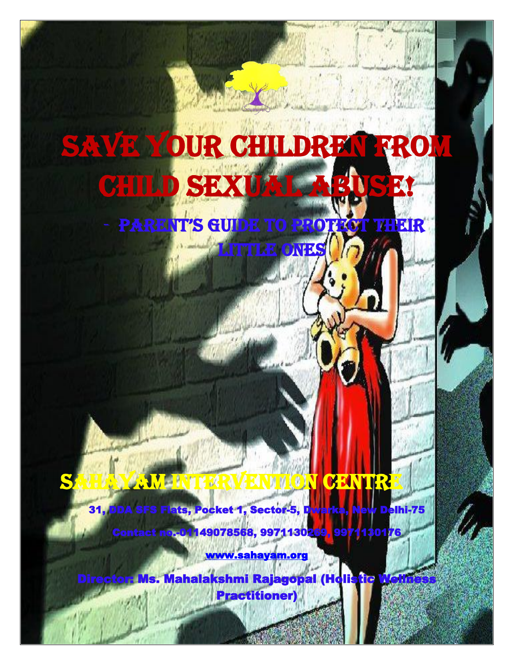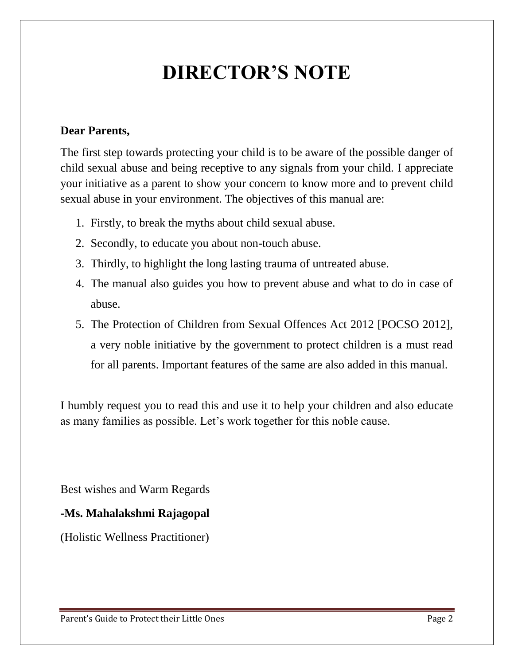# **DIRECTOR'S NOTE**

#### **Dear Parents,**

The first step towards protecting your child is to be aware of the possible danger of child sexual abuse and being receptive to any signals from your child. I appreciate your initiative as a parent to show your concern to know more and to prevent child sexual abuse in your environment. The objectives of this manual are:

- 1. Firstly, to break the myths about child sexual abuse.
- 2. Secondly, to educate you about non-touch abuse.
- 3. Thirdly, to highlight the long lasting trauma of untreated abuse.
- 4. The manual also guides you how to prevent abuse and what to do in case of abuse.
- 5. The Protection of Children from Sexual Offences Act 2012 [POCSO 2012], a very noble initiative by the government to protect children is a must read for all parents. Important features of the same are also added in this manual.

I humbly request you to read this and use it to help your children and also educate as many families as possible. Let's work together for this noble cause.

Best wishes and Warm Regards

#### **-Ms. Mahalakshmi Rajagopal**

(Holistic Wellness Practitioner)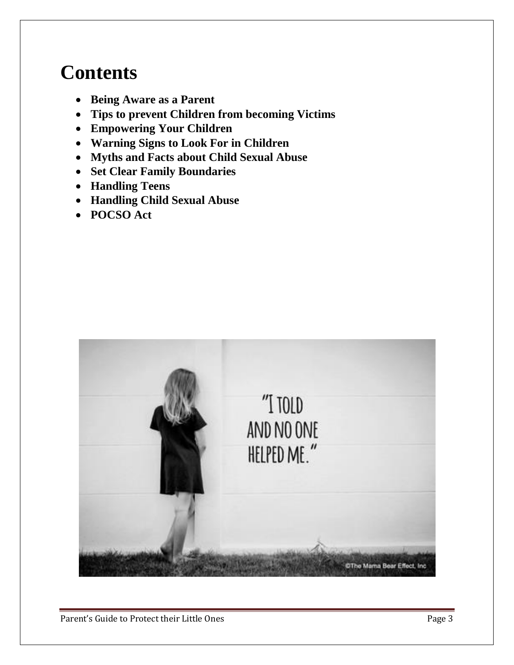# **Contents**

- **Being Aware as a Parent**
- **Tips to prevent Children from becoming Victims**
- **Empowering Your Children**
- **Warning Signs to Look For in Children**
- **Myths and Facts about Child Sexual Abuse**
- **Set Clear Family Boundaries**
- **Handling Teens**
- **Handling Child Sexual Abuse**
- **POCSO Act**

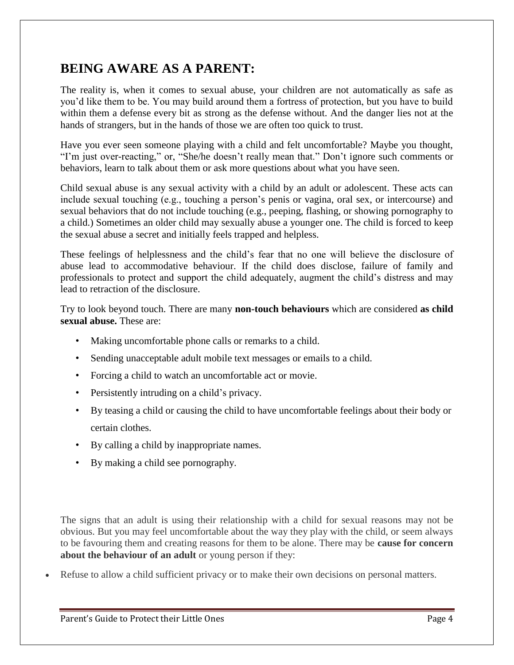### **BEING AWARE AS A PARENT:**

The reality is, when it comes to sexual abuse, your children are not automatically as safe as you'd like them to be. You may build around them a fortress of protection, but you have to build within them a defense every bit as strong as the defense without. And the danger lies not at the hands of strangers, but in the hands of those we are often too quick to trust.

Have you ever seen someone playing with a child and felt uncomfortable? Maybe you thought, "I'm just over-reacting," or, "She/he doesn't really mean that." Don't ignore such comments or behaviors, learn to talk about them or ask more questions about what you have seen.

Child sexual abuse is any sexual activity with a child by an adult or adolescent. These acts can include sexual touching (e.g., touching a person's penis or vagina, oral sex, or intercourse) and sexual behaviors that do not include touching (e.g., peeping, flashing, or showing pornography to a child.) Sometimes an older child may sexually abuse a younger one. The child is forced to keep the sexual abuse a secret and initially feels trapped and helpless.

These feelings of helplessness and the child's fear that no one will believe the disclosure of abuse lead to accommodative behaviour. If the child does disclose, failure of family and professionals to protect and support the child adequately, augment the child's distress and may lead to retraction of the disclosure.

Try to look beyond touch. There are many **non-touch behaviours** which are considered **as child sexual abuse.** These are:

- Making uncomfortable phone calls or remarks to a child.
- Sending unacceptable adult mobile text messages or emails to a child.
- Forcing a child to watch an uncomfortable act or movie.
- Persistently intruding on a child's privacy.
- By teasing a child or causing the child to have uncomfortable feelings about their body or certain clothes.
- By calling a child by inappropriate names.
- By making a child see pornography.

The signs that an adult is using their relationship with a child for sexual reasons may not be obvious. But you may feel uncomfortable about the way they play with the child, or seem always to be favouring them and creating reasons for them to be alone. There may be **cause for concern about the behaviour of an adult** or young person if they:

Refuse to allow a child sufficient privacy or to make their own decisions on personal matters.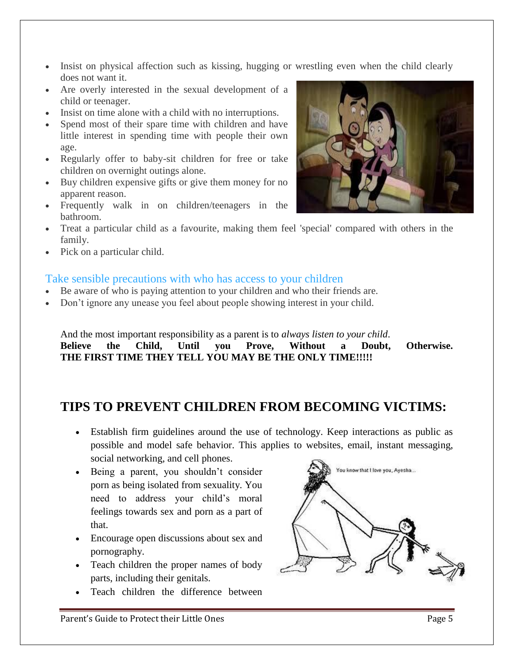- Insist on physical affection such as kissing, hugging or wrestling even when the child clearly does not want it.
- Are overly interested in the sexual development of a child or teenager.
- Insist on time alone with a child with no interruptions.
- Spend most of their spare time with children and have little interest in spending time with people their own age.
- Regularly offer to baby-sit children for free or take children on overnight outings alone.
- Buy children expensive gifts or give them money for no apparent reason.
- Frequently walk in on children/teenagers in the bathroom.
- Treat a particular child as a favourite, making them feel 'special' compared with others in the family.
- Pick on a particular child.

#### Take sensible precautions with who has access to your children

- Be aware of who is paying attention to your children and who their friends are.
- Don't ignore any unease you feel about people showing interest in your child.

And the most important responsibility as a parent is to *always listen to your child*. **Believe the Child, Until you Prove, Without a Doubt, Otherwise. THE FIRST TIME THEY TELL YOU MAY BE THE ONLY TIME!!!!!**

### **TIPS TO PREVENT CHILDREN FROM BECOMING VICTIMS:**

- Establish firm guidelines around the use of technology. Keep interactions as public as possible and model safe behavior. This applies to websites, email, instant messaging, social networking, and cell phones.
- Being a parent, you shouldn't consider porn as being isolated from sexuality. You need to address your child's moral feelings towards sex and porn as a part of that.
- Encourage open discussions about sex and pornography.
- Teach children the proper names of body parts, including their genitals.
- Teach children the difference between



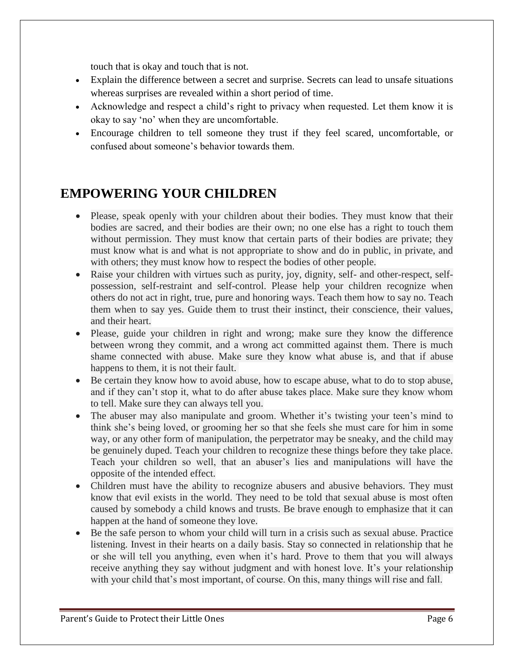touch that is okay and touch that is not.

- Explain the difference between a secret and surprise. Secrets can lead to unsafe situations whereas surprises are revealed within a short period of time.
- Acknowledge and respect a child's right to privacy when requested. Let them know it is okay to say 'no' when they are uncomfortable.
- Encourage children to tell someone they trust if they feel scared, uncomfortable, or confused about someone's behavior towards them.

### **EMPOWERING YOUR CHILDREN**

- Please, speak openly with your children about their bodies. They must know that their bodies are sacred, and their bodies are their own; no one else has a right to touch them without permission. They must know that certain parts of their bodies are private; they must know what is and what is not appropriate to show and do in public, in private, and with others; they must know how to respect the bodies of other people.
- Raise your children with virtues such as purity, joy, dignity, self- and other-respect, selfpossession, self-restraint and self-control. Please help your children recognize when others do not act in right, true, pure and honoring ways. Teach them how to say no. Teach them when to say yes. Guide them to trust their instinct, their conscience, their values, and their heart.
- Please, guide your children in right and wrong; make sure they know the difference between wrong they commit, and a wrong act committed against them. There is much shame connected with abuse. Make sure they know what abuse is, and that if abuse happens to them, it is not their fault.
- Be certain they know how to avoid abuse, how to escape abuse, what to do to stop abuse, and if they can't stop it, what to do after abuse takes place. Make sure they know whom to tell. Make sure they can always tell you.
- The abuser may also manipulate and groom. Whether it's twisting your teen's mind to think she's being loved, or grooming her so that she feels she must care for him in some way, or any other form of manipulation, the perpetrator may be sneaky, and the child may be genuinely duped. Teach your children to recognize these things before they take place. Teach your children so well, that an abuser's lies and manipulations will have the opposite of the intended effect.
- Children must have the ability to recognize abusers and abusive behaviors. They must know that evil exists in the world. They need to be told that sexual abuse is most often caused by somebody a child knows and trusts. Be brave enough to emphasize that it can happen at the hand of someone they love.
- Be the safe person to whom your child will turn in a crisis such as sexual abuse. Practice listening. Invest in their hearts on a daily basis. Stay so connected in relationship that he or she will tell you anything, even when it's hard. Prove to them that you will always receive anything they say without judgment and with honest love. It's your relationship with your child that's most important, of course. On this, many things will rise and fall.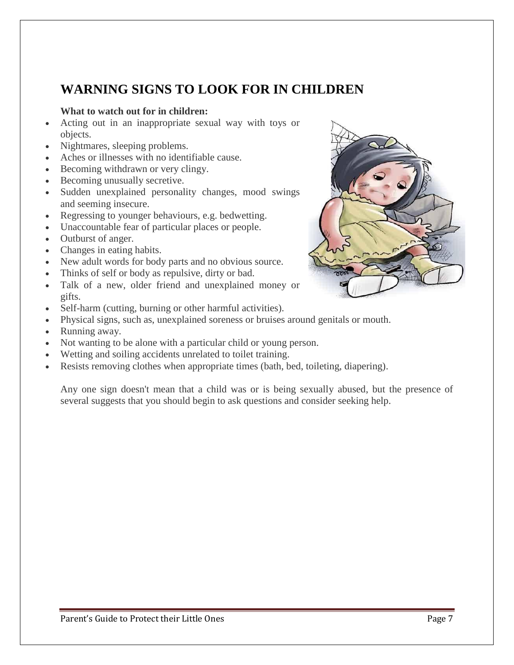### **WARNING SIGNS TO LOOK FOR IN CHILDREN**

#### **What to watch out for in children:**

- Acting out in an inappropriate sexual way with toys or objects.
- Nightmares, sleeping problems.
- Aches or illnesses with no identifiable cause.
- Becoming withdrawn or very clingy.
- Becoming unusually secretive.
- Sudden unexplained personality changes, mood swings and seeming insecure.
- Regressing to younger behaviours, e.g. bedwetting.
- Unaccountable fear of particular places or people.
- Outburst of anger.
- Changes in eating habits.
- New adult words for body parts and no obvious source.
- Thinks of self or body as repulsive, dirty or bad.
- Talk of a new, older friend and unexplained money or gifts.
- Self-harm (cutting, burning or other harmful activities).
- Physical signs, such as, unexplained soreness or bruises around genitals or mouth.
- Running away.
- Not wanting to be alone with a particular child or young person.
- Wetting and soiling accidents unrelated to toilet training.
- Resists removing clothes when appropriate times (bath, bed, toileting, diapering).

Any one sign doesn't mean that a child was or is being sexually abused, but the presence of several suggests that you should begin to ask questions and consider seeking help.

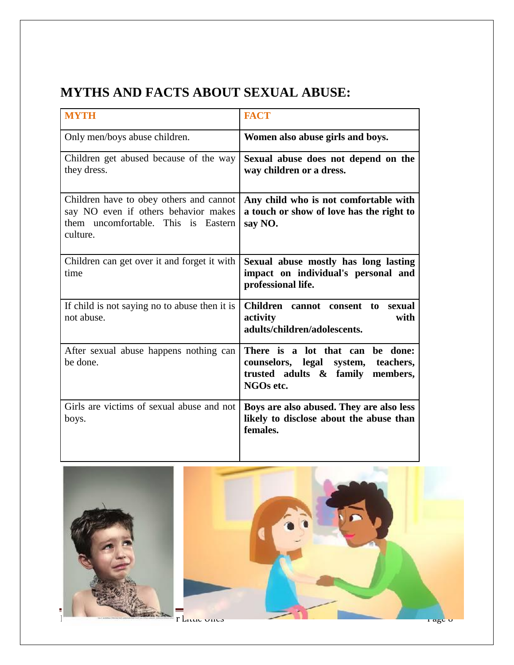## **MYTHS AND FACTS ABOUT SEXUAL ABUSE:**

| <b>MYTH</b>                                                                                                                        | <b>FACT</b>                                                                                                                    |
|------------------------------------------------------------------------------------------------------------------------------------|--------------------------------------------------------------------------------------------------------------------------------|
| Only men/boys abuse children.                                                                                                      | Women also abuse girls and boys.                                                                                               |
| Children get abused because of the way<br>they dress.                                                                              | Sexual abuse does not depend on the<br>way children or a dress.                                                                |
| Children have to obey others and cannot<br>say NO even if others behavior makes<br>them uncomfortable. This is Eastern<br>culture. | Any child who is not comfortable with<br>a touch or show of love has the right to<br>say NO.                                   |
| Children can get over it and forget it with<br>time                                                                                | Sexual abuse mostly has long lasting<br>impact on individual's personal and<br>professional life.                              |
| If child is not saying no to abuse then it is<br>not abuse.                                                                        | Children cannot consent to<br>sexual<br>activity<br>with<br>adults/children/adolescents.                                       |
| After sexual abuse happens nothing can<br>be done.                                                                                 | There is a lot that can<br>be done:<br>counselors, legal system,<br>teachers,<br>trusted adults & family members,<br>NGOs etc. |
| Girls are victims of sexual abuse and not<br>boys.                                                                                 | Boys are also abused. They are also less<br>likely to disclose about the abuse than<br>females.                                |



Partie Guide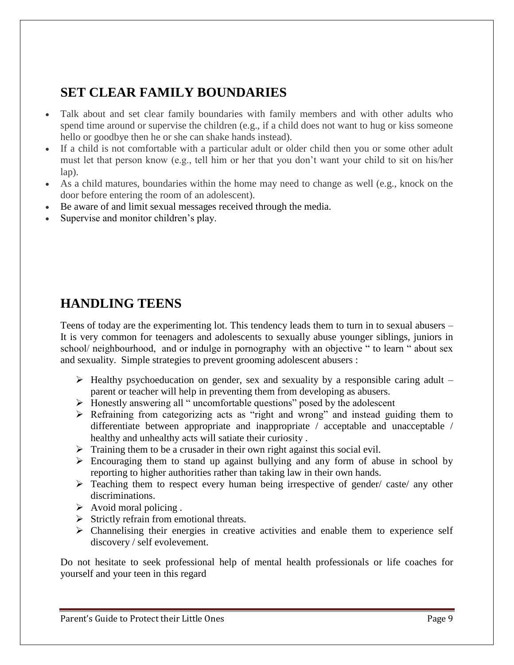### **SET CLEAR FAMILY BOUNDARIES**

- Talk about and set clear family boundaries with family members and with other adults who spend time around or supervise the children (e.g., if a child does not want to hug or kiss someone hello or goodbye then he or she can shake hands instead).
- If a child is not comfortable with a particular adult or older child then you or some other adult must let that person know (e.g., tell him or her that you don't want your child to sit on his/her lap).
- As a child matures, boundaries within the home may need to change as well (e.g., knock on the door before entering the room of an adolescent).
- Be aware of and limit sexual messages received through the media.
- Supervise and monitor children's play.

### **HANDLING TEENS**

Teens of today are the experimenting lot. This tendency leads them to turn in to sexual abusers – It is very common for teenagers and adolescents to sexually abuse younger siblings, juniors in school/ neighbourhood, and or indulge in pornography with an objective " to learn " about sex and sexuality. Simple strategies to prevent grooming adolescent abusers :

- $\triangleright$  Healthy psychoeducation on gender, sex and sexuality by a responsible caring adult parent or teacher will help in preventing them from developing as abusers.
- Honestly answering all " uncomfortable questions" posed by the adolescent
- $\triangleright$  Refraining from categorizing acts as "right and wrong" and instead guiding them to differentiate between appropriate and inappropriate / acceptable and unacceptable / healthy and unhealthy acts will satiate their curiosity .
- $\triangleright$  Training them to be a crusader in their own right against this social evil.
- $\triangleright$  Encouraging them to stand up against bullying and any form of abuse in school by reporting to higher authorities rather than taking law in their own hands.
- $\triangleright$  Teaching them to respect every human being irrespective of gender/ caste/ any other discriminations.
- $\triangleright$  Avoid moral policing.
- $\triangleright$  Strictly refrain from emotional threats.
- $\triangleright$  Channelising their energies in creative activities and enable them to experience self discovery / self evolevement.

Do not hesitate to seek professional help of mental health professionals or life coaches for yourself and your teen in this regard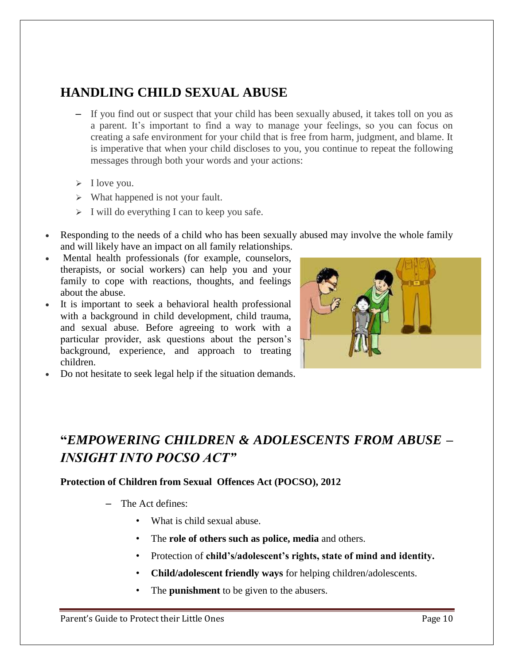### **HANDLING CHILD SEXUAL ABUSE**

- If you find out or suspect that your child has been sexually abused, it takes toll on you as a parent. It's important to find a way to manage your feelings, so you can focus on creating a safe environment for your child that is free from harm, judgment, and blame. It is imperative that when your child discloses to you, you continue to repeat the following messages through both your words and your actions:
- $\triangleright$  I love you.
- $\triangleright$  What happened is not your fault.
- $\triangleright$  I will do everything I can to keep you safe.
- Responding to the needs of a child who has been sexually abused may involve the whole family and will likely have an impact on all family relationships.
- Mental health professionals (for example, counselors, therapists, or social workers) can help you and your family to cope with reactions, thoughts, and feelings about the abuse.
- It is important to seek a behavioral health professional with a background in child development, child trauma, and sexual abuse. Before agreeing to work with a particular provider, ask questions about the person's background, experience, and approach to treating children.



Do not hesitate to seek legal help if the situation demands.

## **"***EMPOWERING CHILDREN & ADOLESCENTS FROM ABUSE – INSIGHT INTO POCSO ACT"*

#### **Protection of Children from Sexual Offences Act (POCSO), 2012**

- The Act defines:
	- What is child sexual abuse.
	- The **role of others such as police, media** and others.
	- Protection of **child's/adolescent's rights, state of mind and identity.**
	- **Child/adolescent friendly ways** for helping children/adolescents.
	- The **punishment** to be given to the abusers.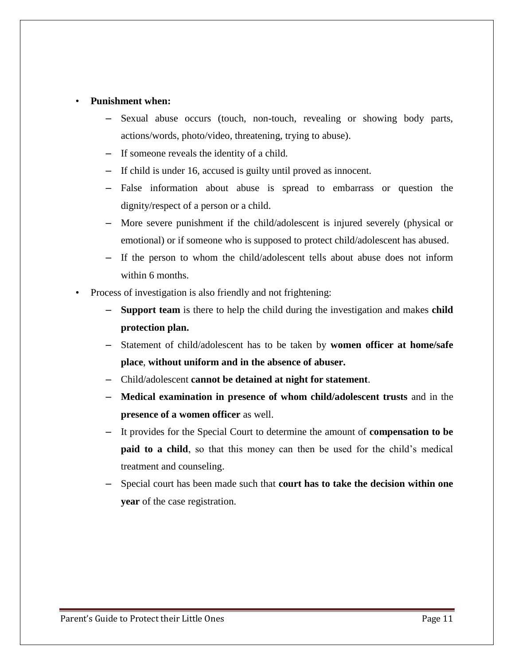#### • **Punishment when:**

- Sexual abuse occurs (touch, non-touch, revealing or showing body parts, actions/words, photo/video, threatening, trying to abuse).
- If someone reveals the identity of a child.
- If child is under 16, accused is guilty until proved as innocent.
- False information about abuse is spread to embarrass or question the dignity/respect of a person or a child.
- More severe punishment if the child/adolescent is injured severely (physical or emotional) or if someone who is supposed to protect child/adolescent has abused.
- If the person to whom the child/adolescent tells about abuse does not inform within 6 months.
- Process of investigation is also friendly and not frightening:
	- **Support team** is there to help the child during the investigation and makes **child protection plan.**
	- Statement of child/adolescent has to be taken by **women officer at home/safe place**, **without uniform and in the absence of abuser.**
	- Child/adolescent **cannot be detained at night for statement**.
	- **Medical examination in presence of whom child/adolescent trusts** and in the **presence of a women officer** as well.
	- It provides for the Special Court to determine the amount of **compensation to be paid to a child**, so that this money can then be used for the child's medical treatment and counseling.
	- Special court has been made such that **court has to take the decision within one year** of the case registration.